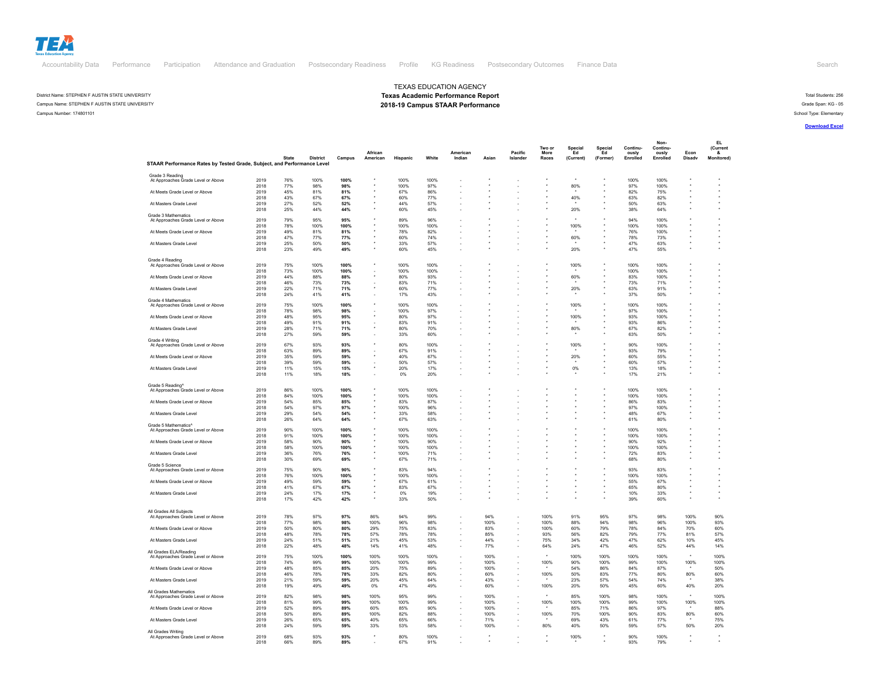

## District Name: STEPHEN F AUSTIN STATE UNIVERSITY **Texas Academic Performance Report** Total Students: 256 and Spacific Performance Report Total Students: 256 and Spacific Performance Report Total Students: 256 and Spacific Campus Name: STEPHEN F AUSTIN STATE UNIVERSITY **2018-19 Campus STAAR Performance** Campus STAAR Performance Campus STAAR Performance Campus State Span: KG - 05<br>Campus Number: 174801101

Campus Number: 174801101 School Type: Elementary

## **[Download Excel](https://rptsvr1.tea.texas.gov/cgi/sas/broker?_service=marykay&_debug=0&single=N&batch=N&app=PUBLIC&ptype=E&_program=perfrept.perfmast.sas&level=campus&search=campnum&namenum=174801101&prgopt=2019/tapr/performance.sas)**

|                                                                         |      |              |                 |        |           |          |         |                          |       |          |        |           |          |          | Non-       |        | EL.       |  |
|-------------------------------------------------------------------------|------|--------------|-----------------|--------|-----------|----------|---------|--------------------------|-------|----------|--------|-----------|----------|----------|------------|--------|-----------|--|
|                                                                         |      |              |                 |        |           |          |         |                          |       |          | Two or | Special   | Special  | Continu- | Continu-   |        | (Current  |  |
|                                                                         |      |              |                 |        | African   |          |         | American                 |       | Pacific  | More   | Ed        | Ed       | ously    | ously      | Econ   |           |  |
|                                                                         |      | <b>State</b> | <b>District</b> | Campus | American  | Hispanic | White   | Indian                   | Asian | Islander | Races  | (Current) | (Former) | Enrolled | Enrolled   | Disadv | Monitored |  |
| STAAR Performance Rates by Tested Grade, Subject, and Performance Level |      |              |                 |        |           |          |         |                          |       |          |        |           |          |          |            |        |           |  |
|                                                                         |      |              |                 |        |           |          |         |                          |       |          |        |           |          |          |            |        |           |  |
| Grade 3 Reading<br>At Approaches Grade Level or Above                   | 2019 | 76%          | 100%            | 100%   |           | 100%     | 100%    |                          |       |          |        |           |          | 100%     | 100%       |        |           |  |
|                                                                         | 2018 | 77%          | 98%             | 98%    |           | 100%     | 97%     |                          |       |          |        | 80%       |          |          | 100%       |        |           |  |
|                                                                         |      |              |                 |        |           |          |         |                          |       |          |        |           |          | 97%      |            |        |           |  |
| At Meets Grade Level or Above                                           | 2019 | 45%          | 81%             | 81%    |           | 67%      | 86%     |                          |       |          |        |           |          | 82%      | 75%        |        |           |  |
|                                                                         | 2018 | 43%          | 67%             | 67%    |           | 60%      | 77%     |                          |       |          |        | 40%       |          | 63%      | 82%        |        |           |  |
| At Masters Grade Level                                                  | 2019 | 27%          | 52%             | 52%    |           | 44%      | 57%     |                          |       |          |        |           |          | 50%      | 63%        |        |           |  |
|                                                                         | 2018 | 25%          | 44%             | 44%    |           | 60%      | 45%     |                          |       |          |        | 20%       |          | 38%      | 64%        |        |           |  |
| Grade 3 Mathematics                                                     |      |              |                 |        |           |          |         |                          |       |          |        |           |          |          |            |        |           |  |
| At Approaches Grade Level or Above                                      | 2019 | 79%          | 95%             | 95%    |           | 89%      | 96%     |                          |       |          |        |           |          | 94%      | 100%       |        |           |  |
|                                                                         | 2018 | 78%          | 100%            | 100%   |           | 100%     | 100%    |                          |       |          |        | 100%      |          | 100%     | 100%       |        |           |  |
| At Meets Grade Level or Above                                           | 2019 | 49%          | 81%             | 81%    |           | 78%      | 82%     |                          |       |          |        |           |          | 76%      | 100%       |        |           |  |
|                                                                         | 2018 | 47%          | 77%             | 77%    |           | 60%      | 74%     |                          |       |          |        | 60%       |          | 78%      | 73%        |        |           |  |
| At Masters Grade Level                                                  | 2019 | 25%          | 50%             | 50%    |           | 33%      | 57%     |                          |       |          |        |           |          | 47%      | 63%        |        |           |  |
|                                                                         | 2018 | 23%          | 49%             | 49%    |           | 60%      | 45%     |                          |       |          |        | 20%       |          | 47%      | 55%        |        |           |  |
|                                                                         |      |              |                 |        |           |          |         |                          |       |          |        |           |          |          |            |        |           |  |
| Grade 4 Reading                                                         |      |              |                 |        |           |          |         |                          |       |          |        |           |          |          |            |        |           |  |
| At Approaches Grade Level or Above                                      | 2019 | 75%          | 100%            | 100%   |           | 100%     | 100%    |                          |       |          |        | 100%      |          | 100%     | 100%       |        |           |  |
|                                                                         | 2018 | 73%          | 100%            | 100%   |           | 100%     | 100%    |                          |       |          |        |           |          | 100%     | 100%       |        |           |  |
| At Meets Grade Level or Above                                           | 2019 | 44%          | 88%             | 88%    |           | 80%      | 93%     |                          |       |          |        | 60%       |          | 83%      | 100%       |        |           |  |
|                                                                         | 2018 | 46%          | 73%             | 73%    |           | 83%      | 71%     |                          |       |          |        |           |          | 73%      | 71%        |        |           |  |
| At Masters Grade Level                                                  | 2019 | 22%          | 71%             | 71%    |           | 60%      | 77%     |                          |       |          |        | 20%       |          | 63%      | 91%        |        |           |  |
|                                                                         | 2018 | 24%          | 41%             | 41%    |           | 17%      | 43%     |                          |       |          |        |           |          | 37%      | 50%        |        |           |  |
|                                                                         |      |              |                 |        |           |          |         |                          |       |          |        |           |          |          |            |        |           |  |
| Grade 4 Mathematics                                                     |      |              |                 |        |           |          |         |                          |       |          |        |           |          |          |            |        |           |  |
| At Approaches Grade Level or Above                                      | 2019 | 75%          | 100%            | 100%   |           | 100%     | 100%    |                          |       |          |        | 100%      |          | 100%     | 100%       |        |           |  |
|                                                                         | 2018 | 78%          | 98%             | 98%    |           | 100%     | 97%     |                          |       |          |        |           |          | 97%      | 100%       |        |           |  |
| At Meets Grade Level or Above                                           | 2019 | 48%          | 95%             | 95%    |           | 80%      | 97%     |                          |       |          |        | 100%      |          | 93%      | 100%       |        |           |  |
|                                                                         | 2018 | 49%          | 91%             | 91%    |           | 83%      | 91%     |                          |       |          |        |           |          | 93%      | 86%        |        |           |  |
| At Masters Grade Level                                                  | 2019 | 28%          | 71%             | 71%    |           | 80%      | 70%     |                          |       |          |        | 80%       |          | 67%      | 82%        |        |           |  |
|                                                                         | 2018 | 27%          | 59%             | 59%    |           | 33%      | 60%     |                          |       |          |        |           |          | 63%      | 50%        |        |           |  |
| Grade 4 Writing                                                         |      |              |                 |        |           |          |         |                          |       |          |        |           |          |          |            |        |           |  |
| At Approaches Grade Level or Above                                      | 2019 | 67%          | 93%             | 93%    |           | 80%      | 100%    |                          |       |          |        | 100%      |          | 90%      | 100%       |        |           |  |
|                                                                         | 2018 | 63%          | 89%             | 89%    |           | 67%      | 91%     |                          |       |          |        |           |          | 93%      | 79%        |        |           |  |
| At Meets Grade Level or Above                                           | 2019 | 35%          | 59%             | 59%    |           | 40%      | 67%     |                          |       |          |        | 20%       |          | 60%      | 55%        |        |           |  |
|                                                                         |      |              |                 |        |           |          |         |                          |       |          |        |           |          |          |            |        |           |  |
|                                                                         | 2018 | 39%          | 59%             | 59%    |           | 50%      | 57%     |                          |       |          |        |           |          | 60%      | 57%        |        |           |  |
| At Masters Grade Level                                                  | 2019 | 11%          | 15%             | 15%    |           | 20%      | 17%     | ä,                       |       |          |        | 0%        |          | 13%      | 18%        |        |           |  |
|                                                                         | 2018 | 11%          | 18%             | 18%    |           | 0%       | 20%     |                          |       |          |        |           |          | 17%      | 21%        |        |           |  |
|                                                                         |      |              |                 |        |           |          |         |                          |       |          |        |           |          |          |            |        |           |  |
| Grade 5 Reading                                                         |      |              |                 |        |           |          |         |                          |       |          |        |           |          |          |            |        |           |  |
| At Approaches Grade Level or Above                                      | 2019 | 86%          | 100%            | 100%   |           | 100%     | 100%    |                          |       |          |        |           |          | 100%     | 100%       |        |           |  |
|                                                                         | 2018 | 84%          | 100%            | 100%   |           | 100%     | 100%    |                          |       |          |        |           |          | 100%     | 100%       |        |           |  |
| At Meets Grade Level or Above                                           | 2019 | 54%          | 85%             | 85%    |           | 83%      | 87%     |                          |       |          |        |           |          | 86%      | 83%        |        |           |  |
|                                                                         | 2018 | 54%          | 97%             | 97%    |           | 100%     | 96%     |                          |       |          |        |           |          | 97%      | 100%       |        |           |  |
| At Masters Grade Level                                                  | 2019 | 29%          | 54%             | 54%    |           | 33%      | 58%     |                          |       |          |        |           |          | 48%      | 67%        |        |           |  |
|                                                                         | 2018 | 26%          | 64%             | 64%    |           | 67%      | 63%     |                          |       |          |        |           |          | 61%      | 80%        |        |           |  |
|                                                                         |      |              |                 |        |           |          |         |                          |       |          |        |           |          |          |            |        |           |  |
| Grade 5 Mathematics <sup>^</sup><br>At Approaches Grade Level or Above  | 2019 | 90%          | 100%            | 100%   |           | 100%     | 100%    |                          |       |          |        |           |          | 100%     | 100%       |        |           |  |
|                                                                         | 2018 | 91%          | 100%            | 100%   |           | 100%     | 100%    |                          |       |          |        |           |          | 100%     | 100%       |        |           |  |
|                                                                         |      |              |                 |        |           |          |         |                          |       |          |        |           |          |          |            |        |           |  |
| At Meets Grade Level or Above                                           | 2019 | 58%          | 90%             | 90%    |           | 100%     | 90%     |                          |       |          |        |           |          | 90%      | 92%        |        |           |  |
|                                                                         | 2018 | 58%          | 100%            | 100%   |           | 100%     | 100%    |                          |       |          |        |           |          | 100%     | 100%       |        |           |  |
| At Masters Grade Level                                                  | 2019 | 36%          | 76%             | 76%    |           | 100%     | 71%     |                          |       |          |        |           |          | 72%      | 83%        |        |           |  |
|                                                                         | 2018 | 30%          | 69%             | 69%    |           | 67%      | 71%     |                          |       |          |        |           |          | 68%      | 80%        |        |           |  |
| Grade 5 Science                                                         |      |              |                 |        |           |          |         |                          |       |          |        |           |          |          |            |        |           |  |
| At Approaches Grade Level or Above                                      | 2019 | 75%          | 90%             | 90%    |           | 83%      | 94%     |                          |       |          |        |           |          | 93%      | 83%        |        |           |  |
|                                                                         | 2018 | 76%          | 100%            | 100%   |           | 100%     | 100%    |                          |       |          |        |           |          | 100%     | 100%       |        |           |  |
| At Meets Grade Level or Above                                           | 2019 | 49%          | 59%             | 59%    |           | 67%      | 61%     | $\overline{\phantom{a}}$ |       |          |        |           |          | 55%      | 67%        |        |           |  |
|                                                                         | 2018 | 41%          | 67%             | 67%    |           | 83%      | 67%     |                          |       |          |        |           |          | 65%      | 80%        |        |           |  |
| At Masters Grade Level                                                  | 2019 | 24%          | 17%             | 17%    |           | 0%       | 19%     | ÷                        |       |          |        |           |          | 10%      | 33%        |        |           |  |
|                                                                         | 2018 | 17%          | 42%             | 42%    |           | 33%      | 50%     |                          |       |          |        |           |          | 39%      | 60%        |        |           |  |
|                                                                         |      |              |                 |        |           |          |         |                          |       |          |        |           |          |          |            |        |           |  |
|                                                                         |      |              |                 |        |           |          |         |                          |       |          |        |           |          |          |            |        |           |  |
| All Grades All Subiects                                                 |      |              |                 |        |           |          |         |                          |       |          |        |           |          |          |            |        |           |  |
| At Approaches Grade Level or Above                                      | 2019 | 78%          | 97%             | 97%    | 86%       | 94%      | 99%     |                          | 94%   |          | 100%   | 91%       | 95%      | 97%      | 98%        | 100%   | 90%       |  |
|                                                                         | 2018 | 77%          | 98%             | 98%    | 100%      | 96%      | 98%     |                          | 100%  |          | 100%   | 88%       | 94%      | 98%      | 96%        | 100%   | 93%       |  |
| At Meets Grade Level or Above                                           | 2019 | 50%          | 80%             | 80%    | 29%       | 75%      | 83%     |                          | 83%   |          | 100%   | 60%       | 79%      | 78%      | 84%        | 70%    | 60%       |  |
|                                                                         | 2018 | 48%          | 78%             | 78%    | 57%       | 78%      | 78%     |                          | 85%   |          | 93%    | 56%       | 82%      | 79%      | 77%        | 81%    | 57%       |  |
| At Masters Grade Level                                                  | 2019 | 24%          | 51%             | 51%    | 21%       | 45%      | 53%     |                          | 44%   |          | 75%    | 34%       | 42%      | 47%      | 62%        | 10%    | 45%       |  |
|                                                                         | 2018 | 22%          | 48%             | 48%    | 14%       | 41%      | 48%     |                          | 77%   |          | 64%    | 24%       | 47%      | 46%      | 52%        | 44%    | 14%       |  |
|                                                                         |      |              |                 |        |           |          |         |                          |       |          |        |           |          |          |            |        |           |  |
| All Grades ELA/Reading                                                  | 2019 | 75%          | 100%            | 100%   | 100%      | 100%     | 100%    |                          | 100%  |          |        | 100%      | 100%     | 100%     | 100%       |        | 100%      |  |
| At Approaches Grade Level or Above                                      |      |              |                 |        |           |          |         |                          |       |          |        |           |          |          |            |        |           |  |
|                                                                         | 2018 | 74%          | 99%             | 99%    | 100%      | 100%     | 99%     |                          | 100%  |          | 100%   | 90%       | 100%     | 99%      | 100%       | 100%   | 100%      |  |
| At Meets Grade Level or Above                                           | 2019 | 48%          | 85%             | 85%    | 20%       | 75%      | 89%     |                          | 100%  |          |        | 54%       | 86%      | 84%      | 87%        |        | 50%       |  |
|                                                                         | 2018 | 46%          | 78%             | 78%    | 33%       | 82%      | 80%     |                          | 60%   |          | 100%   | 50%       | 83%      | 77%      | 80%        | 80%    | 60%       |  |
| At Masters Grade Level                                                  | 2019 | 21%          | 59%             | 59%    | 20%       | 45%      | 64%     | Ĭ.                       | 43%   |          |        | 23%       | 57%      | 54%      | 74%        |        | 38%       |  |
|                                                                         | 2018 | 19%          | 49%             | 49%    | 0%        | 47%      | 49%     |                          | 60%   |          | 100%   | 20%       | 50%      | 45%      | 60%        | 40%    | 20%       |  |
| All Grades Mathematics                                                  |      |              |                 |        |           |          |         |                          |       |          |        |           |          |          |            |        |           |  |
| At Approaches Grade Level or Above                                      | 2019 | 82%          | 98%             | 98%    | 100%      | 95%      | 99%     |                          | 100%  |          |        | 85%       | 100%     | 98%      | 100%       |        | 100%      |  |
|                                                                         | 2018 | 81%          | 99%             | 99%    | 100%      | 100%     | 99%     |                          | 100%  |          | 100%   | 100%      | 100%     | 99%      | 100%       | 100%   | 100%      |  |
| At Meets Grade Level or Above                                           | 2019 | 52%          | 89%             | 89%    | 60%       | 85%      | 90%     |                          | 100%  |          |        | 85%       | 71%      | 86%      | 97%        |        | 88%       |  |
|                                                                         | 2018 | 50%          | 89%             | 89%    | 100%      | 82%      | 88%     |                          | 100%  |          |        | 70%       | 100%     | 90%      | 83%        | 80%    | 60%       |  |
|                                                                         |      |              |                 |        |           |          |         |                          |       |          | 100%   |           |          |          |            |        |           |  |
| At Masters Grade Level                                                  | 2019 | 26%          | 65%             | 65%    | 40%       | 65%      | 66%     |                          | 71%   |          |        | 69%       | 43%      | 61%      | 77%        |        | 75%       |  |
|                                                                         | 2018 | 24%          | 59%             | 59%    | 33%       | 53%      | 58%     |                          | 100%  |          | 80%    | 40%       | 50%      | 59%      | 57%        | 50%    | 20%       |  |
| All Grades Writing                                                      |      |              |                 |        |           |          |         |                          |       |          |        |           |          |          |            |        |           |  |
| At Approaches Grade Level or Above                                      | 2019 | 68%          | 93%             | 93%    | $\ddot{}$ | 80%      | 100%    |                          |       |          |        | 100%      |          | 90%      | 100%       |        |           |  |
|                                                                         | 2018 | 66%          | 89%             | 89%    |           | 67%      | $Q_1$ % |                          |       |          |        |           |          | 93%      | <b>79%</b> |        |           |  |

TEXAS EDUCATION AGENCY